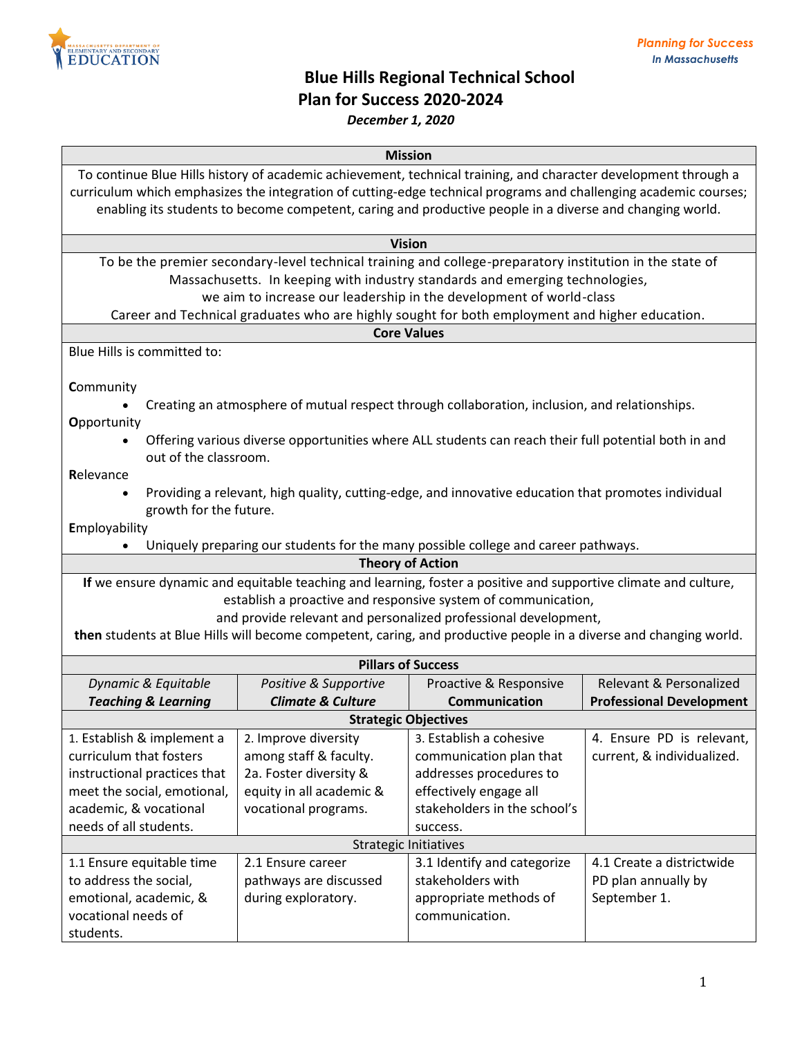

# **Blue Hills Regional Technical School Plan for Success 2020-2024**

## *December 1, 2020*

### **Mission**

To continue Blue Hills history of academic achievement, technical training, and character development through a curriculum which emphasizes the integration of cutting-edge technical programs and challenging academic courses; enabling its students to become competent, caring and productive people in a diverse and changing world.

#### **Vision**

To be the premier secondary-level technical training and college-preparatory institution in the state of Massachusetts. In keeping with industry standards and emerging technologies,

we aim to increase our leadership in the development of world-class

Career and Technical graduates who are highly sought for both employment and higher education.

## **Core Values**

Blue Hills is committed to:

**C**ommunity

Creating an atmosphere of mutual respect through collaboration, inclusion, and relationships.

**O**pportunity

 Offering various diverse opportunities where ALL students can reach their full potential both in and out of the classroom.

**R**elevance

 Providing a relevant, high quality, cutting-edge, and innovative education that promotes individual growth for the future.

**E**mployability

Uniquely preparing our students for the many possible college and career pathways.

**Theory of Action**

**If** we ensure dynamic and equitable teaching and learning, foster a positive and supportive climate and culture, establish a proactive and responsive system of communication,

and provide relevant and personalized professional development,

**then** students at Blue Hills will become competent, caring, and productive people in a diverse and changing world.

| <b>Pillars of Success</b>      |                              |                              |                                 |  |  |
|--------------------------------|------------------------------|------------------------------|---------------------------------|--|--|
| Dynamic & Equitable            | Positive & Supportive        | Proactive & Responsive       | Relevant & Personalized         |  |  |
| <b>Teaching &amp; Learning</b> | <b>Climate &amp; Culture</b> | Communication                | <b>Professional Development</b> |  |  |
| <b>Strategic Objectives</b>    |                              |                              |                                 |  |  |
| 1. Establish & implement a     | 2. Improve diversity         | 3. Establish a cohesive      | 4. Ensure PD is relevant,       |  |  |
| curriculum that fosters        | among staff & faculty.       | communication plan that      | current, & individualized.      |  |  |
| instructional practices that   | 2a. Foster diversity &       | addresses procedures to      |                                 |  |  |
| meet the social, emotional,    | equity in all academic &     | effectively engage all       |                                 |  |  |
| academic, & vocational         | vocational programs.         | stakeholders in the school's |                                 |  |  |
| needs of all students.         |                              | success.                     |                                 |  |  |
| <b>Strategic Initiatives</b>   |                              |                              |                                 |  |  |
| 1.1 Ensure equitable time      | 2.1 Ensure career            | 3.1 Identify and categorize  | 4.1 Create a districtwide       |  |  |
| to address the social,         | pathways are discussed       | stakeholders with            | PD plan annually by             |  |  |
| emotional, academic, &         | during exploratory.          | appropriate methods of       | September 1.                    |  |  |
| vocational needs of            |                              | communication.               |                                 |  |  |
| students.                      |                              |                              |                                 |  |  |